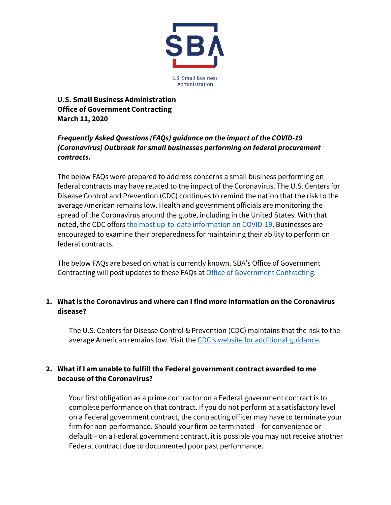

**U.S. Small Business Administration Office of Government Contracting March 11, 2020**

# *Frequently Asked Questions (FAQs) guidance on the impact of the COVID-19 (Coronavirus) Outbreak for small businesses performing on federal procurement contracts.*

The below FAQs were prepared to address concerns a small business performing on federal contracts may have related to the impact of the Coronavirus. The U.S. Centers for Disease Control and Prevention (CDC) continues to remind the nation that the risk to the average American remains low. Health and government officials are monitoring the spread of the Coronavirus around the globe, including in the United States. With that noted, the CDC offer[s the most up-to-date information on COVID-19.](https://www.cdc.gov/coronavirus/2019-ncov/index.html) Businesses are encouraged to examine their preparedness for maintaining their ability to perform on federal contracts.

The below FAQs are based on what is currently known. SBA's Office of Government Contracting will post updates to these FAQs at [Office of Government Contracting.](https://www.sba.gov/federal-contracting)

### **1. What is the Coronavirus and where can I find more information on the Coronavirus disease?**

The U.S. Centers for Disease Control & Prevention (CDC) maintains that the risk to the average American remains low. Visit th[e CDC's website for additional guidance.](https://www.cdc.gov/coronavirus/2019-ncov/index.html)

### **2. What if I am unable to fulfill the Federal government contract awarded to me because of the Coronavirus?**

Your first obligation as a prime contractor on a Federal government contract is to complete performance on that contract. If you do not perform at a satisfactory level on a Federal government contract, the contracting officer may have to terminate your firm for non-performance. Should your firm be terminated – for convenience or default – on a Federal government contract, it is possible you may not receive another Federal contract due to documented poor past performance.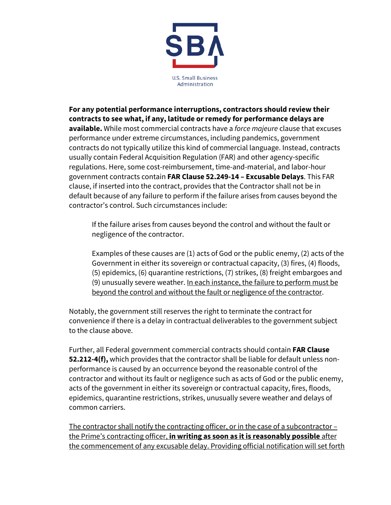

**For any potential performance interruptions, contractors should review their contracts to see what, if any, latitude or remedy for performance delays are available.** While most commercial contracts have a *force majeure* clause that excuses performance under extreme circumstances, including pandemics, government contracts do not typically utilize this kind of commercial language. Instead, contracts usually contain Federal Acquisition Regulation (FAR) and other agency-specific regulations. Here, some cost-reimbursement, time-and-material, and labor-hour government contracts contain **FAR Clause 52.249-14 – Excusable Delays**. This FAR clause, if inserted into the contract, provides that the Contractor shall not be in default because of any failure to perform if the failure arises from causes beyond the contractor's control. Such circumstances include:

If the failure arises from causes beyond the control and without the fault or negligence of the contractor.

Examples of these causes are (1) acts of God or the public enemy, (2) acts of the Government in either its sovereign or contractual capacity, (3) fires, (4) floods, (5) epidemics, (6) quarantine restrictions, (7) strikes, (8) freight embargoes and (9) unusually severe weather. In each instance, the failure to perform must be beyond the control and without the fault or negligence of the contractor.

Notably, the government still reserves the right to terminate the contract for convenience if there is a delay in contractual deliverables to the government subject to the clause above.

Further, all Federal government commercial contracts should contain **FAR Clause 52.212-4(f),** which provides that the contractor shall be liable for default unless nonperformance is caused by an occurrence beyond the reasonable control of the contractor and without its fault or negligence such as acts of God or the public enemy, acts of the government in either its sovereign or contractual capacity, fires, floods, epidemics, quarantine restrictions, strikes, unusually severe weather and delays of common carriers.

The contractor shall notify the contracting officer, or in the case of a subcontractor – the Prime's contracting officer, **in writing as soon as it is reasonably possible** after the commencement of any excusable delay. Providing official notification will set forth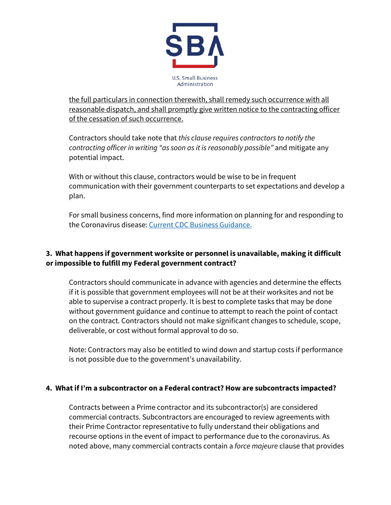

the full particulars in connection therewith, shall remedy such occurrence with all reasonable dispatch, and shall promptly give written notice to the contracting officer of the cessation of such occurrence.

Contractors should take note that *this clause requires contractors to notify the contracting officer in writing "as soon as it is reasonably possible"* and mitigate any potential impact.

With or without this clause, contractors would be wise to be in frequent communication with their government counterparts to set expectations and develop a plan.

For small business concerns, find more information on planning for and responding to the Coronavirus disease: [Current CDC Business Guidance.](https://www.cdc.gov/coronavirus/2019-ncov/community/guidance-business-response.html)

## **3. What happens if government worksite or personnel is unavailable, making it difficult or impossible to fulfill my Federal government contract?**

Contractors should communicate in advance with agencies and determine the effects if it is possible that government employees will not be at their worksites and not be able to supervise a contract properly. It is best to complete tasks that may be done without government guidance and continue to attempt to reach the point of contact on the contract. Contractors should not make significant changes to schedule, scope, deliverable, or cost without formal approval to do so.

Note: Contractors may also be entitled to wind down and startup costs if performance is not possible due to the government's unavailability.

### **4. What if I'm a subcontractor on a Federal contract? How are subcontracts impacted?**

Contracts between a Prime contractor and its subcontractor(s) are considered commercial contracts. Subcontractors are encouraged to review agreements with their Prime Contractor representative to fully understand their obligations and recourse options in the event of impact to performance due to the coronavirus. As noted above, many commercial contracts contain a *force majeure* clause that provides